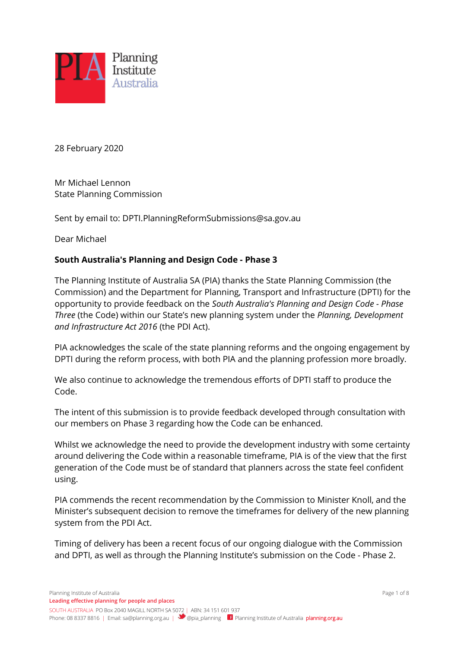

28 February 2020

Mr Michael Lennon State Planning Commission

Sent by email to: DPTI.PlanningReformSubmissions@sa.gov.au

Dear Michael

### **South Australia's Planning and Design Code - Phase 3**

The Planning Institute of Australia SA (PIA) thanks the State Planning Commission (the Commission) and the Department for Planning, Transport and Infrastructure (DPTI) for the opportunity to provide feedback on the *South Australia's Planning and Design Code - Phase Three* (the Code) within our State's new planning system under the *Planning, Development and Infrastructure Act 2016* (the PDI Act).

PIA acknowledges the scale of the state planning reforms and the ongoing engagement by DPTI during the reform process, with both PIA and the planning profession more broadly.

We also continue to acknowledge the tremendous efforts of DPTI staff to produce the Code.

The intent of this submission is to provide feedback developed through consultation with our members on Phase 3 regarding how the Code can be enhanced.

Whilst we acknowledge the need to provide the development industry with some certainty around delivering the Code within a reasonable timeframe, PIA is of the view that the first generation of the Code must be of standard that planners across the state feel confident using.

PIA commends the recent recommendation by the Commission to Minister Knoll, and the Minister's subsequent decision to remove the timeframes for delivery of the new planning system from the PDI Act.

Timing of delivery has been a recent focus of our ongoing dialogue with the Commission and DPTI, as well as through the Planning Institute's submission on the Code - Phase 2.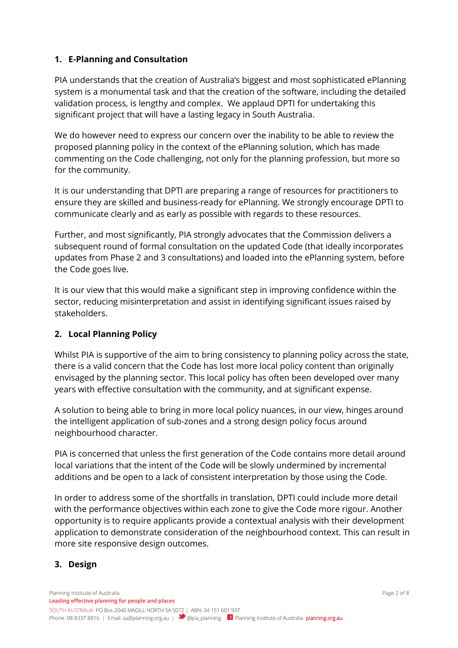### **1. E-Planning and Consultation**

PIA understands that the creation of Australia's biggest and most sophisticated ePlanning system is a monumental task and that the creation of the software, including the detailed validation process, is lengthy and complex. We applaud DPTI for undertaking this significant project that will have a lasting legacy in South Australia.

We do however need to express our concern over the inability to be able to review the proposed planning policy in the context of the ePlanning solution, which has made commenting on the Code challenging, not only for the planning profession, but more so for the community.

It is our understanding that DPTI are preparing a range of resources for practitioners to ensure they are skilled and business-ready for ePlanning. We strongly encourage DPTI to communicate clearly and as early as possible with regards to these resources.

Further, and most significantly, PIA strongly advocates that the Commission delivers a subsequent round of formal consultation on the updated Code (that ideally incorporates updates from Phase 2 and 3 consultations) and loaded into the ePlanning system, before the Code goes live.

It is our view that this would make a significant step in improving confidence within the sector, reducing misinterpretation and assist in identifying significant issues raised by stakeholders.

## **2. Local Planning Policy**

Whilst PIA is supportive of the aim to bring consistency to planning policy across the state, there is a valid concern that the Code has lost more local policy content than originally envisaged by the planning sector. This local policy has often been developed over many years with effective consultation with the community, and at significant expense.

A solution to being able to bring in more local policy nuances, in our view, hinges around the intelligent application of sub-zones and a strong design policy focus around neighbourhood character.

PIA is concerned that unless the first generation of the Code contains more detail around local variations that the intent of the Code will be slowly undermined by incremental additions and be open to a lack of consistent interpretation by those using the Code.

In order to address some of the shortfalls in translation, DPTI could include more detail with the performance objectives within each zone to give the Code more rigour. Another opportunity is to require applicants provide a contextual analysis with their development application to demonstrate consideration of the neighbourhood context. This can result in more site responsive design outcomes.

### **3. Design**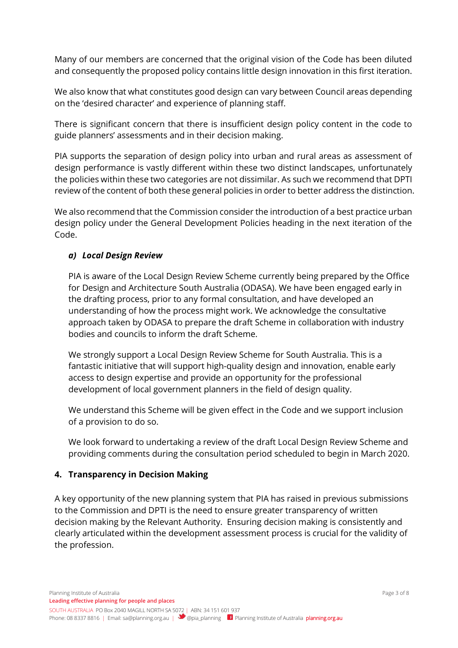Many of our members are concerned that the original vision of the Code has been diluted and consequently the proposed policy contains little design innovation in this first iteration.

We also know that what constitutes good design can vary between Council areas depending on the 'desired character' and experience of planning staff.

There is significant concern that there is insufficient design policy content in the code to guide planners' assessments and in their decision making.

PIA supports the separation of design policy into urban and rural areas as assessment of design performance is vastly different within these two distinct landscapes, unfortunately the policies within these two categories are not dissimilar. As such we recommend that DPTI review of the content of both these general policies in order to better address the distinction.

We also recommend that the Commission consider the introduction of a best practice urban design policy under the General Development Policies heading in the next iteration of the Code.

### *a) Local Design Review*

PIA is aware of the Local Design Review Scheme currently being prepared by the Office for Design and Architecture South Australia (ODASA). We have been engaged early in the drafting process, prior to any formal consultation, and have developed an understanding of how the process might work. We acknowledge the consultative approach taken by ODASA to prepare the draft Scheme in collaboration with industry bodies and councils to inform the draft Scheme.

We strongly support a Local Design Review Scheme for South Australia. This is a fantastic initiative that will support high-quality design and innovation, enable early access to design expertise and provide an opportunity for the professional development of local government planners in the field of design quality.

We understand this Scheme will be given effect in the Code and we support inclusion of a provision to do so.

We look forward to undertaking a review of the draft Local Design Review Scheme and providing comments during the consultation period scheduled to begin in March 2020.

### **4. Transparency in Decision Making**

A key opportunity of the new planning system that PIA has raised in previous submissions to the Commission and DPTI is the need to ensure greater transparency of written decision making by the Relevant Authority. Ensuring decision making is consistently and clearly articulated within the development assessment process is crucial for the validity of the profession.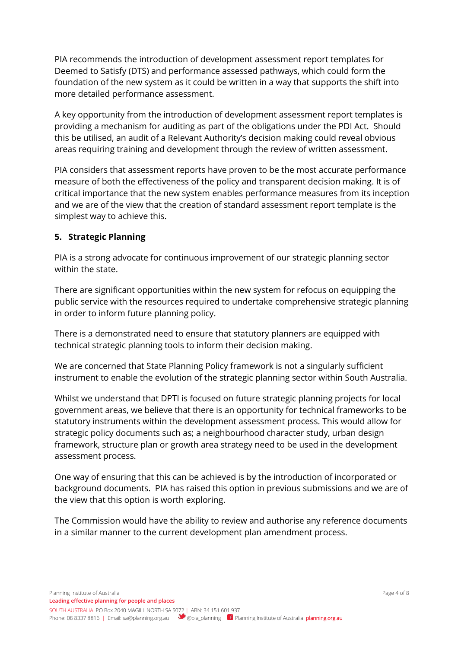PIA recommends the introduction of development assessment report templates for Deemed to Satisfy (DTS) and performance assessed pathways, which could form the foundation of the new system as it could be written in a way that supports the shift into more detailed performance assessment.

A key opportunity from the introduction of development assessment report templates is providing a mechanism for auditing as part of the obligations under the PDI Act. Should this be utilised, an audit of a Relevant Authority's decision making could reveal obvious areas requiring training and development through the review of written assessment.

PIA considers that assessment reports have proven to be the most accurate performance measure of both the effectiveness of the policy and transparent decision making. It is of critical importance that the new system enables performance measures from its inception and we are of the view that the creation of standard assessment report template is the simplest way to achieve this.

## **5. Strategic Planning**

PIA is a strong advocate for continuous improvement of our strategic planning sector within the state.

There are significant opportunities within the new system for refocus on equipping the public service with the resources required to undertake comprehensive strategic planning in order to inform future planning policy.

There is a demonstrated need to ensure that statutory planners are equipped with technical strategic planning tools to inform their decision making.

We are concerned that State Planning Policy framework is not a singularly sufficient instrument to enable the evolution of the strategic planning sector within South Australia.

Whilst we understand that DPTI is focused on future strategic planning projects for local government areas, we believe that there is an opportunity for technical frameworks to be statutory instruments within the development assessment process. This would allow for strategic policy documents such as; a neighbourhood character study, urban design framework, structure plan or growth area strategy need to be used in the development assessment process.

One way of ensuring that this can be achieved is by the introduction of incorporated or background documents. PIA has raised this option in previous submissions and we are of the view that this option is worth exploring.

The Commission would have the ability to review and authorise any reference documents in a similar manner to the current development plan amendment process.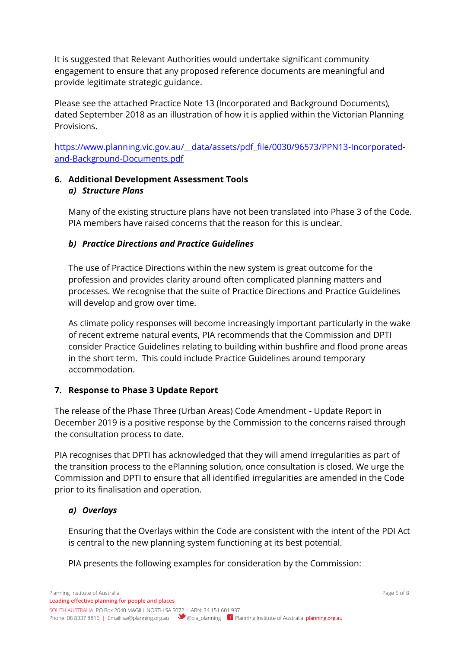It is suggested that Relevant Authorities would undertake significant community engagement to ensure that any proposed reference documents are meaningful and provide legitimate strategic guidance.

Please see the attached Practice Note 13 (Incorporated and Background Documents), dated September 2018 as an illustration of how it is applied within the Victorian Planning Provisions.

https://www.planning.vic.gov.au/ data/assets/pdf file/0030/96573/PPN13-Incorporated[and-Background-Documents.pdf](https://www.planning.vic.gov.au/__data/assets/pdf_file/0030/96573/PPN13-Incorporated-and-Background-Documents.pdf)

## **6. Additional Development Assessment Tools** *a) Structure Plans*

Many of the existing structure plans have not been translated into Phase 3 of the Code. PIA members have raised concerns that the reason for this is unclear.

## *b) Practice Directions and Practice Guidelines*

The use of Practice Directions within the new system is great outcome for the profession and provides clarity around often complicated planning matters and processes. We recognise that the suite of Practice Directions and Practice Guidelines will develop and grow over time.

As climate policy responses will become increasingly important particularly in the wake of recent extreme natural events, PIA recommends that the Commission and DPTI consider Practice Guidelines relating to building within bushfire and flood prone areas in the short term. This could include Practice Guidelines around temporary accommodation.

## **7. Response to Phase 3 Update Report**

The release of the Phase Three (Urban Areas) Code Amendment - Update Report in December 2019 is a positive response by the Commission to the concerns raised through the consultation process to date.

PIA recognises that DPTI has acknowledged that they will amend irregularities as part of the transition process to the ePlanning solution, once consultation is closed. We urge the Commission and DPTI to ensure that all identified irregularities are amended in the Code prior to its finalisation and operation.

## *a) Overlays*

Ensuring that the Overlays within the Code are consistent with the intent of the PDI Act is central to the new planning system functioning at its best potential.

PIA presents the following examples for consideration by the Commission: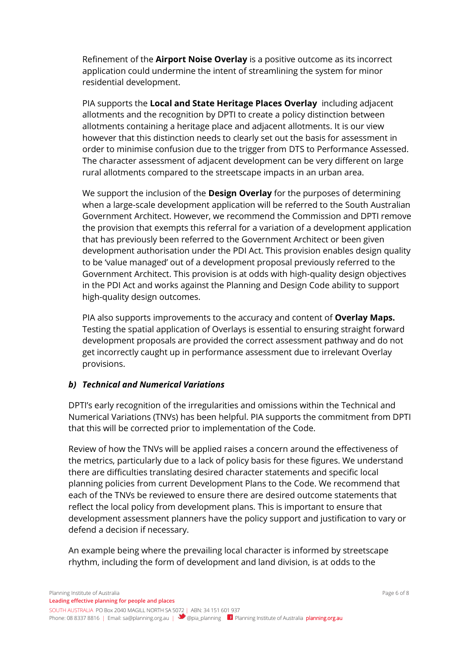Refinement of the **Airport Noise Overlay** is a positive outcome as its incorrect application could undermine the intent of streamlining the system for minor residential development.

PIA supports the **Local and State Heritage Places Overlay** including adjacent allotments and the recognition by DPTI to create a policy distinction between allotments containing a heritage place and adjacent allotments. It is our view however that this distinction needs to clearly set out the basis for assessment in order to minimise confusion due to the trigger from DTS to Performance Assessed. The character assessment of adjacent development can be very different on large rural allotments compared to the streetscape impacts in an urban area.

We support the inclusion of the **Design Overlay** for the purposes of determining when a large-scale development application will be referred to the South Australian Government Architect. However, we recommend the Commission and DPTI remove the provision that exempts this referral for a variation of a development application that has previously been referred to the Government Architect or been given development authorisation under the PDI Act. This provision enables design quality to be 'value managed' out of a development proposal previously referred to the Government Architect. This provision is at odds with high-quality design objectives in the PDI Act and works against the Planning and Design Code ability to support high-quality design outcomes.

PIA also supports improvements to the accuracy and content of **Overlay Maps.**  Testing the spatial application of Overlays is essential to ensuring straight forward development proposals are provided the correct assessment pathway and do not get incorrectly caught up in performance assessment due to irrelevant Overlay provisions.

## *b) Technical and Numerical Variations*

DPTI's early recognition of the irregularities and omissions within the Technical and Numerical Variations (TNVs) has been helpful. PIA supports the commitment from DPTI that this will be corrected prior to implementation of the Code.

Review of how the TNVs will be applied raises a concern around the effectiveness of the metrics, particularly due to a lack of policy basis for these figures. We understand there are difficulties translating desired character statements and specific local planning policies from current Development Plans to the Code. We recommend that each of the TNVs be reviewed to ensure there are desired outcome statements that reflect the local policy from development plans. This is important to ensure that development assessment planners have the policy support and justification to vary or defend a decision if necessary.

An example being where the prevailing local character is informed by streetscape rhythm, including the form of development and land division, is at odds to the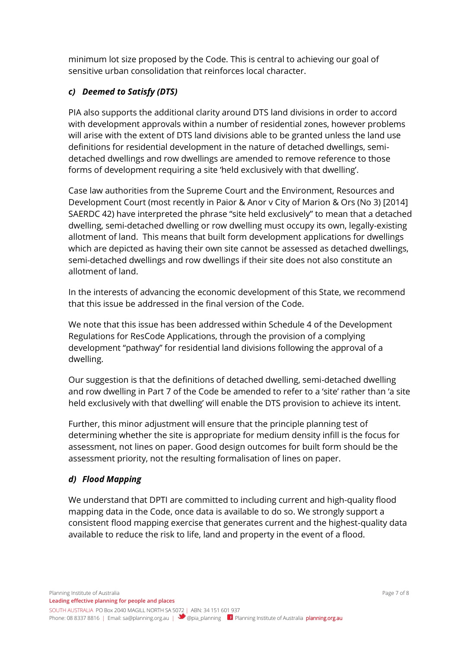minimum lot size proposed by the Code. This is central to achieving our goal of sensitive urban consolidation that reinforces local character.

## *c) Deemed to Satisfy (DTS)*

PIA also supports the additional clarity around DTS land divisions in order to accord with development approvals within a number of residential zones, however problems will arise with the extent of DTS land divisions able to be granted unless the land use definitions for residential development in the nature of detached dwellings, semidetached dwellings and row dwellings are amended to remove reference to those forms of development requiring a site 'held exclusively with that dwelling'.

Case law authorities from the Supreme Court and the Environment, Resources and Development Court (most recently in Paior & Anor v City of Marion & Ors (No 3) [2014] SAERDC 42) have interpreted the phrase "site held exclusively" to mean that a detached dwelling, semi-detached dwelling or row dwelling must occupy its own, legally-existing allotment of land. This means that built form development applications for dwellings which are depicted as having their own site cannot be assessed as detached dwellings, semi-detached dwellings and row dwellings if their site does not also constitute an allotment of land.

In the interests of advancing the economic development of this State, we recommend that this issue be addressed in the final version of the Code.

We note that this issue has been addressed within Schedule 4 of the Development Regulations for ResCode Applications, through the provision of a complying development "pathway" for residential land divisions following the approval of a dwelling.

Our suggestion is that the definitions of detached dwelling, semi-detached dwelling and row dwelling in Part 7 of the Code be amended to refer to a 'site' rather than 'a site held exclusively with that dwelling' will enable the DTS provision to achieve its intent.

Further, this minor adjustment will ensure that the principle planning test of determining whether the site is appropriate for medium density infill is the focus for assessment, not lines on paper. Good design outcomes for built form should be the assessment priority, not the resulting formalisation of lines on paper.

# *d) Flood Mapping*

We understand that DPTI are committed to including current and high-quality flood mapping data in the Code, once data is available to do so. We strongly support a consistent flood mapping exercise that generates current and the highest-quality data available to reduce the risk to life, land and property in the event of a flood.